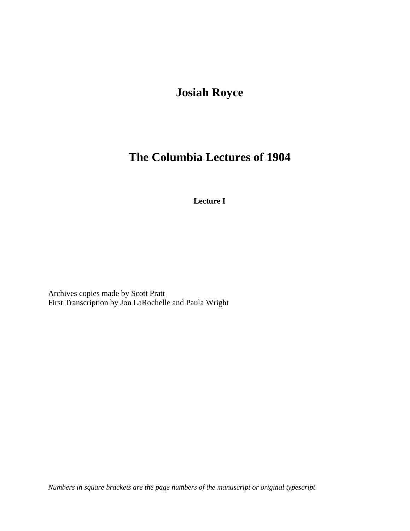# **Josiah Royce**

# **The Columbia Lectures of 1904**

**Lecture I**

Archives copies made by Scott Pratt First Transcription by Jon LaRochelle and Paula Wright

*Numbers in square brackets are the page numbers of the manuscript or original typescript.*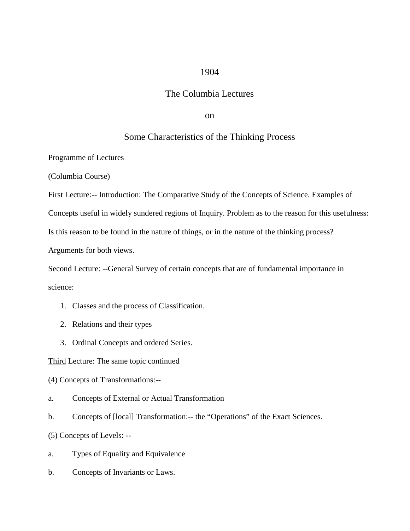## 1904

## The Columbia Lectures

on

## Some Characteristics of the Thinking Process

Programme of Lectures

(Columbia Course)

First Lecture:-- Introduction: The Comparative Study of the Concepts of Science. Examples of

Concepts useful in widely sundered regions of Inquiry. Problem as to the reason for this usefulness:

Is this reason to be found in the nature of things, or in the nature of the thinking process?

Arguments for both views.

Second Lecture: --General Survey of certain concepts that are of fundamental importance in science:

- 1. Classes and the process of Classification.
- 2. Relations and their types
- 3. Ordinal Concepts and ordered Series.

Third Lecture: The same topic continued

(4) Concepts of Transformations:--

- a. Concepts of External or Actual Transformation
- b. Concepts of [local] Transformation:-- the "Operations" of the Exact Sciences.
- (5) Concepts of Levels: --
- a. Types of Equality and Equivalence
- b. Concepts of Invariants or Laws.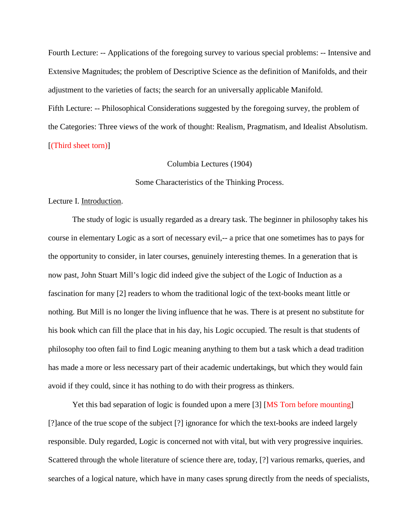Fourth Lecture: -- Applications of the foregoing survey to various special problems: -- Intensive and Extensive Magnitudes; the problem of Descriptive Science as the definition of Manifolds, and their adjustment to the varieties of facts; the search for an universally applicable Manifold. Fifth Lecture: -- Philosophical Considerations suggested by the foregoing survey, the problem of

the Categories: Three views of the work of thought: Realism, Pragmatism, and Idealist Absolutism. [(Third sheet torn)]

## Columbia Lectures (1904)

### Some Characteristics of the Thinking Process.

### Lecture I. Introduction.

The study of logic is usually regarded as a dreary task. The beginner in philosophy takes his course in elementary Logic as a sort of necessary evil,-- a price that one sometimes has to pays for the opportunity to consider, in later courses, genuinely interesting themes. In a generation that is now past, John Stuart Mill's logic did indeed give the subject of the Logic of Induction as a fascination for many [2] readers to whom the traditional logic of the text-books meant little or nothing. But Mill is no longer the living influence that he was. There is at present no substitute for his book which can fill the place that in his day, his Logic occupied. The result is that students of philosophy too often fail to find Logic meaning anything to them but a task which a dead tradition has made a more or less necessary part of their academic undertakings, but which they would fain avoid if they could, since it has nothing to do with their progress as thinkers.

Yet this bad separation of logic is founded upon a mere [3] [MS Torn before mounting] [?]ance of the true scope of the subject [?] ignorance for which the text-books are indeed largely responsible. Duly regarded, Logic is concerned not with vital, but with very progressive inquiries. Scattered through the whole literature of science there are, today, [?] various remarks, queries, and searches of a logical nature, which have in many cases sprung directly from the needs of specialists,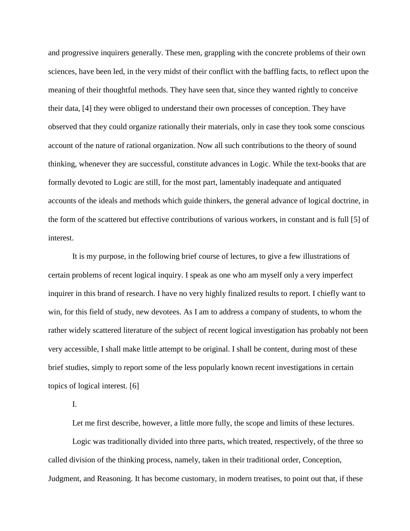and progressive inquirers generally. These men, grappling with the concrete problems of their own sciences, have been led, in the very midst of their conflict with the baffling facts, to reflect upon the meaning of their thoughtful methods. They have seen that, since they wanted rightly to conceive their data, [4] they were obliged to understand their own processes of conception. They have observed that they could organize rationally their materials, only in case they took some conscious account of the nature of rational organization. Now all such contributions to the theory of sound thinking, whenever they are successful, constitute advances in Logic. While the text-books that are formally devoted to Logic are still, for the most part, lamentably inadequate and antiquated accounts of the ideals and methods which guide thinkers, the general advance of logical doctrine, in the form of the scattered but effective contributions of various workers, in constant and is full [5] of interest.

It is my purpose, in the following brief course of lectures, to give a few illustrations of certain problems of recent logical inquiry. I speak as one who am myself only a very imperfect inquirer in this brand of research. I have no very highly finalized results to report. I chiefly want to win, for this field of study, new devotees. As I am to address a company of students, to whom the rather widely scattered literature of the subject of recent logical investigation has probably not been very accessible, I shall make little attempt to be original. I shall be content, during most of these brief studies, simply to report some of the less popularly known recent investigations in certain topics of logical interest. [6]

I.

Let me first describe, however, a little more fully, the scope and limits of these lectures.

Logic was traditionally divided into three parts, which treated, respectively, of the three so called division of the thinking process, namely, taken in their traditional order, Conception, Judgment, and Reasoning. It has become customary, in modern treatises, to point out that, if these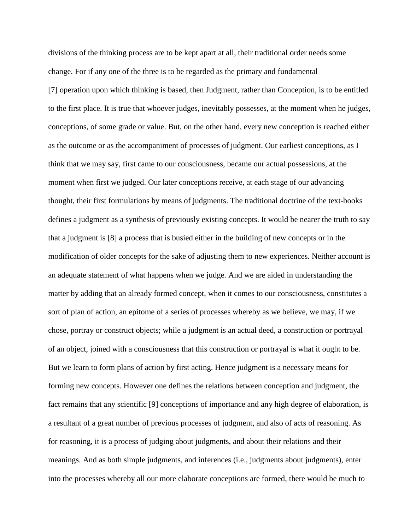divisions of the thinking process are to be kept apart at all, their traditional order needs some change. For if any one of the three is to be regarded as the primary and fundamental [7] operation upon which thinking is based, then Judgment, rather than Conception, is to be entitled to the first place. It is true that whoever judges, inevitably possesses, at the moment when he judges, conceptions, of some grade or value. But, on the other hand, every new conception is reached either as the outcome or as the accompaniment of processes of judgment. Our earliest conceptions, as I think that we may say, first came to our consciousness, became our actual possessions, at the moment when first we judged. Our later conceptions receive, at each stage of our advancing thought, their first formulations by means of judgments. The traditional doctrine of the text-books defines a judgment as a synthesis of previously existing concepts. It would be nearer the truth to say that a judgment is [8] a process that is busied either in the building of new concepts or in the modification of older concepts for the sake of adjusting them to new experiences. Neither account is an adequate statement of what happens when we judge. And we are aided in understanding the matter by adding that an already formed concept, when it comes to our consciousness, constitutes a sort of plan of action, an epitome of a series of processes whereby as we believe, we may, if we chose, portray or construct objects; while a judgment is an actual deed, a construction or portrayal of an object, joined with a consciousness that this construction or portrayal is what it ought to be. But we learn to form plans of action by first acting. Hence judgment is a necessary means for forming new concepts. However one defines the relations between conception and judgment, the fact remains that any scientific [9] conceptions of importance and any high degree of elaboration, is a resultant of a great number of previous processes of judgment, and also of acts of reasoning. As for reasoning, it is a process of judging about judgments, and about their relations and their meanings. And as both simple judgments, and inferences (i.e., judgments about judgments), enter into the processes whereby all our more elaborate conceptions are formed, there would be much to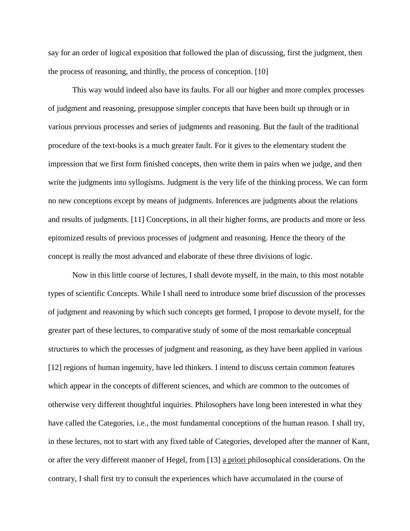say for an order of logical exposition that followed the plan of discussing, first the judgment, then the process of reasoning, and thirdly, the process of conception. [10]

This way would indeed also have its faults. For all our higher and more complex processes of judgment and reasoning, presuppose simpler concepts that have been built up through or in various previous processes and series of judgments and reasoning. But the fault of the traditional procedure of the text-books is a much greater fault. For it gives to the elementary student the impression that we first form finished concepts, then write them in pairs when we judge, and then write the judgments into syllogisms. Judgment is the very life of the thinking process. We can form no new conceptions except by means of judgments. Inferences are judgments about the relations and results of judgments. [11] Conceptions, in all their higher forms, are products and more or less epitomized results of previous processes of judgment and reasoning. Hence the theory of the concept is really the most advanced and elaborate of these three divisions of logic.

Now in this little course of lectures, I shall devote myself, in the main, to this most notable types of scientific Concepts. While I shall need to introduce some brief discussion of the processes of judgment and reasoning by which such concepts get formed, I propose to devote myself, for the greater part of these lectures, to comparative study of some of the most remarkable conceptual structures to which the processes of judgment and reasoning, as they have been applied in various [12] regions of human ingenuity, have led thinkers. I intend to discuss certain common features which appear in the concepts of different sciences, and which are common to the outcomes of otherwise very different thoughtful inquiries. Philosophers have long been interested in what they have called the Categories, i.e., the most fundamental conceptions of the human reason. I shall try, in these lectures, not to start with any fixed table of Categories, developed after the manner of Kant, or after the very different manner of Hegel, from [13] a priori philosophical considerations. On the contrary, I shall first try to consult the experiences which have accumulated in the course of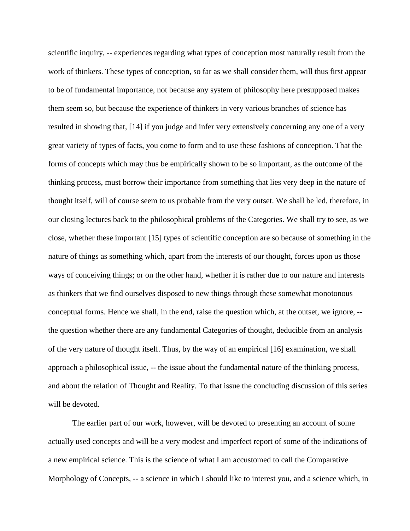scientific inquiry, -- experiences regarding what types of conception most naturally result from the work of thinkers. These types of conception, so far as we shall consider them, will thus first appear to be of fundamental importance, not because any system of philosophy here presupposed makes them seem so, but because the experience of thinkers in very various branches of science has resulted in showing that, [14] if you judge and infer very extensively concerning any one of a very great variety of types of facts, you come to form and to use these fashions of conception. That the forms of concepts which may thus be empirically shown to be so important, as the outcome of the thinking process, must borrow their importance from something that lies very deep in the nature of thought itself, will of course seem to us probable from the very outset. We shall be led, therefore, in our closing lectures back to the philosophical problems of the Categories. We shall try to see, as we close, whether these important [15] types of scientific conception are so because of something in the nature of things as something which, apart from the interests of our thought, forces upon us those ways of conceiving things; or on the other hand, whether it is rather due to our nature and interests as thinkers that we find ourselves disposed to new things through these somewhat monotonous conceptual forms. Hence we shall, in the end, raise the question which, at the outset, we ignore, - the question whether there are any fundamental Categories of thought, deducible from an analysis of the very nature of thought itself. Thus, by the way of an empirical [16] examination, we shall approach a philosophical issue, -- the issue about the fundamental nature of the thinking process, and about the relation of Thought and Reality. To that issue the concluding discussion of this series will be devoted.

The earlier part of our work, however, will be devoted to presenting an account of some actually used concepts and will be a very modest and imperfect report of some of the indications of a new empirical science. This is the science of what I am accustomed to call the Comparative Morphology of Concepts, -- a science in which I should like to interest you, and a science which, in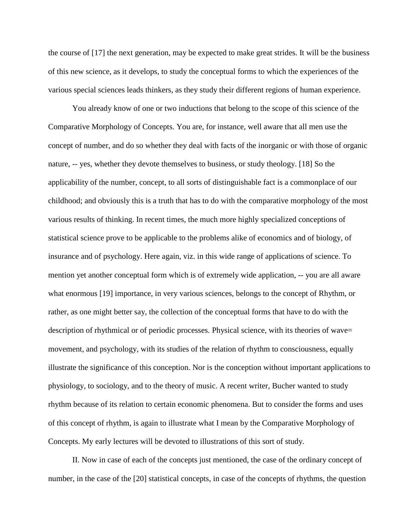the course of [17] the next generation, may be expected to make great strides. It will be the business of this new science, as it develops, to study the conceptual forms to which the experiences of the various special sciences leads thinkers, as they study their different regions of human experience.

You already know of one or two inductions that belong to the scope of this science of the Comparative Morphology of Concepts. You are, for instance, well aware that all men use the concept of number, and do so whether they deal with facts of the inorganic or with those of organic nature, -- yes, whether they devote themselves to business, or study theology. [18] So the applicability of the number, concept, to all sorts of distinguishable fact is a commonplace of our childhood; and obviously this is a truth that has to do with the comparative morphology of the most various results of thinking. In recent times, the much more highly specialized conceptions of statistical science prove to be applicable to the problems alike of economics and of biology, of insurance and of psychology. Here again, viz. in this wide range of applications of science. To mention yet another conceptual form which is of extremely wide application, -- you are all aware what enormous [19] importance, in very various sciences, belongs to the concept of Rhythm, or rather, as one might better say, the collection of the conceptual forms that have to do with the description of rhythmical or of periodic processes. Physical science, with its theories of wave= movement, and psychology, with its studies of the relation of rhythm to consciousness, equally illustrate the significance of this conception. Nor is the conception without important applications to physiology, to sociology, and to the theory of music. A recent writer, Bucher wanted to study rhythm because of its relation to certain economic phenomena. But to consider the forms and uses of this concept of rhythm, is again to illustrate what I mean by the Comparative Morphology of Concepts. My early lectures will be devoted to illustrations of this sort of study.

II. Now in case of each of the concepts just mentioned, the case of the ordinary concept of number, in the case of the [20] statistical concepts, in case of the concepts of rhythms, the question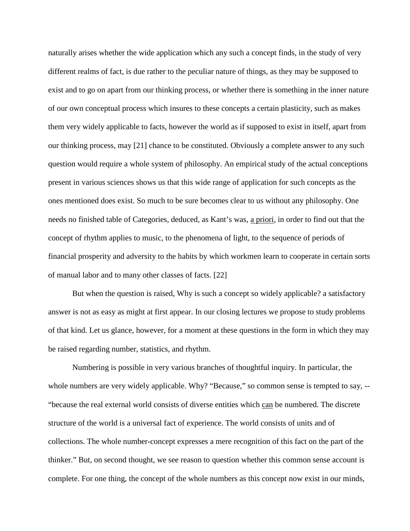naturally arises whether the wide application which any such a concept finds, in the study of very different realms of fact, is due rather to the peculiar nature of things, as they may be supposed to exist and to go on apart from our thinking process, or whether there is something in the inner nature of our own conceptual process which insures to these concepts a certain plasticity, such as makes them very widely applicable to facts, however the world as if supposed to exist in itself, apart from our thinking process, may [21] chance to be constituted. Obviously a complete answer to any such question would require a whole system of philosophy. An empirical study of the actual conceptions present in various sciences shows us that this wide range of application for such concepts as the ones mentioned does exist. So much to be sure becomes clear to us without any philosophy. One needs no finished table of Categories, deduced, as Kant's was, a priori, in order to find out that the concept of rhythm applies to music, to the phenomena of light, to the sequence of periods of financial prosperity and adversity to the habits by which workmen learn to cooperate in certain sorts of manual labor and to many other classes of facts. [22]

But when the question is raised, Why is such a concept so widely applicable? a satisfactory answer is not as easy as might at first appear. In our closing lectures we propose to study problems of that kind. Let us glance, however, for a moment at these questions in the form in which they may be raised regarding number, statistics, and rhythm.

Numbering is possible in very various branches of thoughtful inquiry. In particular, the whole numbers are very widely applicable. Why? "Because," so common sense is tempted to say, --"because the real external world consists of diverse entities which can be numbered. The discrete structure of the world is a universal fact of experience. The world consists of units and of collections. The whole number-concept expresses a mere recognition of this fact on the part of the thinker." But, on second thought, we see reason to question whether this common sense account is complete. For one thing, the concept of the whole numbers as this concept now exist in our minds,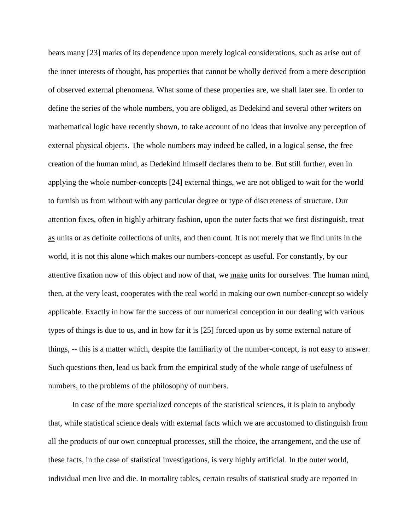bears many [23] marks of its dependence upon merely logical considerations, such as arise out of the inner interests of thought, has properties that cannot be wholly derived from a mere description of observed external phenomena. What some of these properties are, we shall later see. In order to define the series of the whole numbers, you are obliged, as Dedekind and several other writers on mathematical logic have recently shown, to take account of no ideas that involve any perception of external physical objects. The whole numbers may indeed be called, in a logical sense, the free creation of the human mind, as Dedekind himself declares them to be. But still further, even in applying the whole number-concepts [24] external things, we are not obliged to wait for the world to furnish us from without with any particular degree or type of discreteness of structure. Our attention fixes, often in highly arbitrary fashion, upon the outer facts that we first distinguish, treat as units or as definite collections of units, and then count. It is not merely that we find units in the world, it is not this alone which makes our numbers-concept as useful. For constantly, by our attentive fixation now of this object and now of that, we make units for ourselves. The human mind, then, at the very least, cooperates with the real world in making our own number-concept so widely applicable. Exactly in how far the success of our numerical conception in our dealing with various types of things is due to us, and in how far it is [25] forced upon us by some external nature of things, -- this is a matter which, despite the familiarity of the number-concept, is not easy to answer. Such questions then, lead us back from the empirical study of the whole range of usefulness of numbers, to the problems of the philosophy of numbers.

In case of the more specialized concepts of the statistical sciences, it is plain to anybody that, while statistical science deals with external facts which we are accustomed to distinguish from all the products of our own conceptual processes, still the choice, the arrangement, and the use of these facts, in the case of statistical investigations, is very highly artificial. In the outer world, individual men live and die. In mortality tables, certain results of statistical study are reported in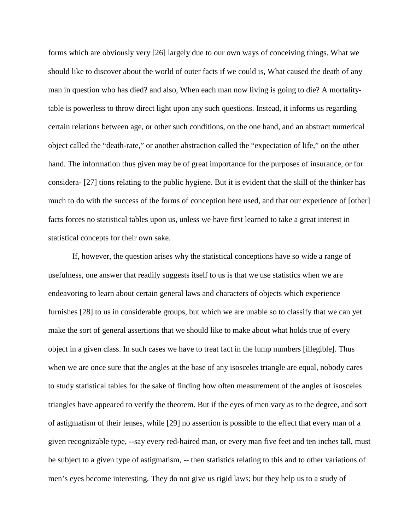forms which are obviously very [26] largely due to our own ways of conceiving things. What we should like to discover about the world of outer facts if we could is, What caused the death of any man in question who has died? and also, When each man now living is going to die? A mortalitytable is powerless to throw direct light upon any such questions. Instead, it informs us regarding certain relations between age, or other such conditions, on the one hand, and an abstract numerical object called the "death-rate," or another abstraction called the "expectation of life," on the other hand. The information thus given may be of great importance for the purposes of insurance, or for considera- [27] tions relating to the public hygiene. But it is evident that the skill of the thinker has much to do with the success of the forms of conception here used, and that our experience of [other] facts forces no statistical tables upon us, unless we have first learned to take a great interest in statistical concepts for their own sake.

If, however, the question arises why the statistical conceptions have so wide a range of usefulness, one answer that readily suggests itself to us is that we use statistics when we are endeavoring to learn about certain general laws and characters of objects which experience furnishes [28] to us in considerable groups, but which we are unable so to classify that we can yet make the sort of general assertions that we should like to make about what holds true of every object in a given class. In such cases we have to treat fact in the lump numbers [illegible]. Thus when we are once sure that the angles at the base of any isosceles triangle are equal, nobody cares to study statistical tables for the sake of finding how often measurement of the angles of isosceles triangles have appeared to verify the theorem. But if the eyes of men vary as to the degree, and sort of astigmatism of their lenses, while [29] no assertion is possible to the effect that every man of a given recognizable type, --say every red-haired man, or every man five feet and ten inches tall, must be subject to a given type of astigmatism, -- then statistics relating to this and to other variations of men's eyes become interesting. They do not give us rigid laws; but they help us to a study of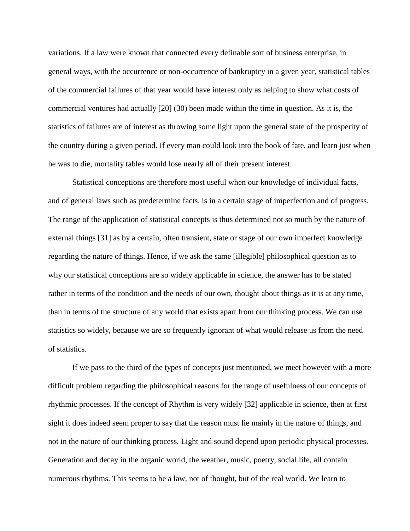variations. If a law were known that connected every definable sort of business enterprise, in general ways, with the occurrence or non-occurrence of bankruptcy in a given year, statistical tables of the commercial failures of that year would have interest only as helping to show what costs of commercial ventures had actually [20] (30) been made within the time in question. As it is, the statistics of failures are of interest as throwing some light upon the general state of the prosperity of the country during a given period. If every man could look into the book of fate, and learn just when he was to die, mortality tables would lose nearly all of their present interest.

Statistical conceptions are therefore most useful when our knowledge of individual facts, and of general laws such as predetermine facts, is in a certain stage of imperfection and of progress. The range of the application of statistical concepts is thus determined not so much by the nature of external things [31] as by a certain, often transient, state or stage of our own imperfect knowledge regarding the nature of things. Hence, if we ask the same [illegible] philosophical question as to why our statistical conceptions are so widely applicable in science, the answer has to be stated rather in terms of the condition and the needs of our own, thought about things as it is at any time, than in terms of the structure of any world that exists apart from our thinking process. We can use statistics so widely, because we are so frequently ignorant of what would release us from the need of statistics.

If we pass to the third of the types of concepts just mentioned, we meet however with a more difficult problem regarding the philosophical reasons for the range of usefulness of our concepts of rhythmic processes. If the concept of Rhythm is very widely [32] applicable in science, then at first sight it does indeed seem proper to say that the reason must lie mainly in the nature of things, and not in the nature of our thinking process. Light and sound depend upon periodic physical processes. Generation and decay in the organic world, the weather, music, poetry, social life, all contain numerous rhythms. This seems to be a law, not of thought, but of the real world. We learn to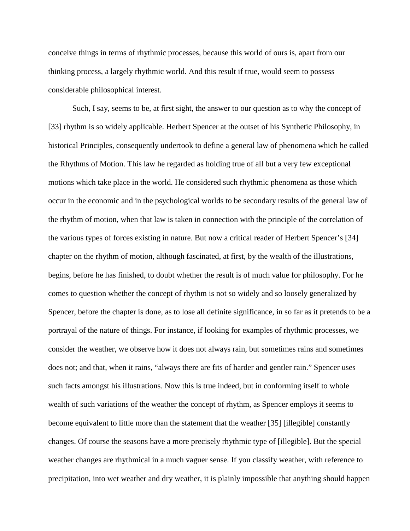conceive things in terms of rhythmic processes, because this world of ours is, apart from our thinking process, a largely rhythmic world. And this result if true, would seem to possess considerable philosophical interest.

Such, I say, seems to be, at first sight, the answer to our question as to why the concept of [33] rhythm is so widely applicable. Herbert Spencer at the outset of his Synthetic Philosophy, in historical Principles, consequently undertook to define a general law of phenomena which he called the Rhythms of Motion. This law he regarded as holding true of all but a very few exceptional motions which take place in the world. He considered such rhythmic phenomena as those which occur in the economic and in the psychological worlds to be secondary results of the general law of the rhythm of motion, when that law is taken in connection with the principle of the correlation of the various types of forces existing in nature. But now a critical reader of Herbert Spencer's [34] chapter on the rhythm of motion, although fascinated, at first, by the wealth of the illustrations, begins, before he has finished, to doubt whether the result is of much value for philosophy. For he comes to question whether the concept of rhythm is not so widely and so loosely generalized by Spencer, before the chapter is done, as to lose all definite significance, in so far as it pretends to be a portrayal of the nature of things. For instance, if looking for examples of rhythmic processes, we consider the weather, we observe how it does not always rain, but sometimes rains and sometimes does not; and that, when it rains, "always there are fits of harder and gentler rain." Spencer uses such facts amongst his illustrations. Now this is true indeed, but in conforming itself to whole wealth of such variations of the weather the concept of rhythm, as Spencer employs it seems to become equivalent to little more than the statement that the weather [35] [illegible] constantly changes. Of course the seasons have a more precisely rhythmic type of [illegible]. But the special weather changes are rhythmical in a much vaguer sense. If you classify weather, with reference to precipitation, into wet weather and dry weather, it is plainly impossible that anything should happen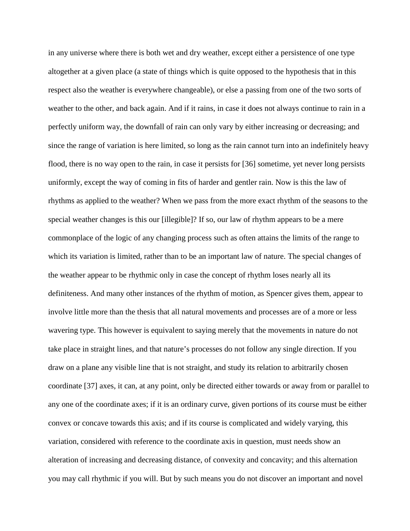in any universe where there is both wet and dry weather, except either a persistence of one type altogether at a given place (a state of things which is quite opposed to the hypothesis that in this respect also the weather is everywhere changeable), or else a passing from one of the two sorts of weather to the other, and back again. And if it rains, in case it does not always continue to rain in a perfectly uniform way, the downfall of rain can only vary by either increasing or decreasing; and since the range of variation is here limited, so long as the rain cannot turn into an indefinitely heavy flood, there is no way open to the rain, in case it persists for [36] sometime, yet never long persists uniformly, except the way of coming in fits of harder and gentler rain. Now is this the law of rhythms as applied to the weather? When we pass from the more exact rhythm of the seasons to the special weather changes is this our [illegible]? If so, our law of rhythm appears to be a mere commonplace of the logic of any changing process such as often attains the limits of the range to which its variation is limited, rather than to be an important law of nature. The special changes of the weather appear to be rhythmic only in case the concept of rhythm loses nearly all its definiteness. And many other instances of the rhythm of motion, as Spencer gives them, appear to involve little more than the thesis that all natural movements and processes are of a more or less wavering type. This however is equivalent to saying merely that the movements in nature do not take place in straight lines, and that nature's processes do not follow any single direction. If you draw on a plane any visible line that is not straight, and study its relation to arbitrarily chosen coordinate [37] axes, it can, at any point, only be directed either towards or away from or parallel to any one of the coordinate axes; if it is an ordinary curve, given portions of its course must be either convex or concave towards this axis; and if its course is complicated and widely varying, this variation, considered with reference to the coordinate axis in question, must needs show an alteration of increasing and decreasing distance, of convexity and concavity; and this alternation you may call rhythmic if you will. But by such means you do not discover an important and novel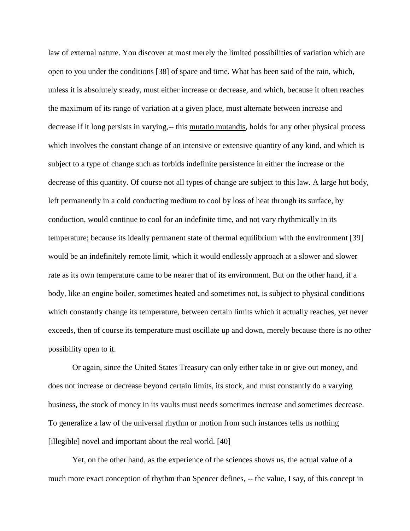law of external nature. You discover at most merely the limited possibilities of variation which are open to you under the conditions [38] of space and time. What has been said of the rain, which, unless it is absolutely steady, must either increase or decrease, and which, because it often reaches the maximum of its range of variation at a given place, must alternate between increase and decrease if it long persists in varying,-- this mutatio mutandis, holds for any other physical process which involves the constant change of an intensive or extensive quantity of any kind, and which is subject to a type of change such as forbids indefinite persistence in either the increase or the decrease of this quantity. Of course not all types of change are subject to this law. A large hot body, left permanently in a cold conducting medium to cool by loss of heat through its surface, by conduction, would continue to cool for an indefinite time, and not vary rhythmically in its temperature; because its ideally permanent state of thermal equilibrium with the environment [39] would be an indefinitely remote limit, which it would endlessly approach at a slower and slower rate as its own temperature came to be nearer that of its environment. But on the other hand, if a body, like an engine boiler, sometimes heated and sometimes not, is subject to physical conditions which constantly change its temperature, between certain limits which it actually reaches, yet never exceeds, then of course its temperature must oscillate up and down, merely because there is no other possibility open to it.

Or again, since the United States Treasury can only either take in or give out money, and does not increase or decrease beyond certain limits, its stock, and must constantly do a varying business, the stock of money in its vaults must needs sometimes increase and sometimes decrease. To generalize a law of the universal rhythm or motion from such instances tells us nothing [illegible] novel and important about the real world. [40]

Yet, on the other hand, as the experience of the sciences shows us, the actual value of a much more exact conception of rhythm than Spencer defines, -- the value, I say, of this concept in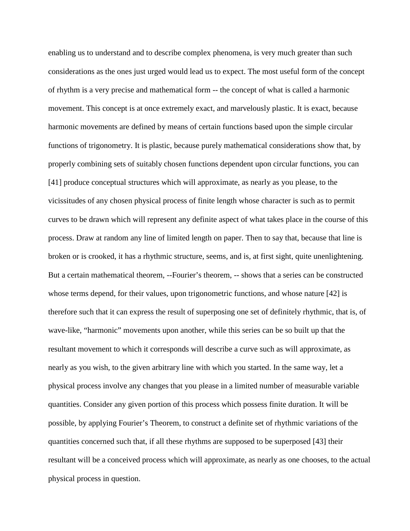enabling us to understand and to describe complex phenomena, is very much greater than such considerations as the ones just urged would lead us to expect. The most useful form of the concept of rhythm is a very precise and mathematical form -- the concept of what is called a harmonic movement. This concept is at once extremely exact, and marvelously plastic. It is exact, because harmonic movements are defined by means of certain functions based upon the simple circular functions of trigonometry. It is plastic, because purely mathematical considerations show that, by properly combining sets of suitably chosen functions dependent upon circular functions, you can [41] produce conceptual structures which will approximate, as nearly as you please, to the vicissitudes of any chosen physical process of finite length whose character is such as to permit curves to be drawn which will represent any definite aspect of what takes place in the course of this process. Draw at random any line of limited length on paper. Then to say that, because that line is broken or is crooked, it has a rhythmic structure, seems, and is, at first sight, quite unenlightening. But a certain mathematical theorem, --Fourier's theorem, -- shows that a series can be constructed whose terms depend, for their values, upon trigonometric functions, and whose nature [42] is therefore such that it can express the result of superposing one set of definitely rhythmic, that is, of wave-like, "harmonic" movements upon another, while this series can be so built up that the resultant movement to which it corresponds will describe a curve such as will approximate, as nearly as you wish, to the given arbitrary line with which you started. In the same way, let a physical process involve any changes that you please in a limited number of measurable variable quantities. Consider any given portion of this process which possess finite duration. It will be possible, by applying Fourier's Theorem, to construct a definite set of rhythmic variations of the quantities concerned such that, if all these rhythms are supposed to be superposed [43] their resultant will be a conceived process which will approximate, as nearly as one chooses, to the actual physical process in question.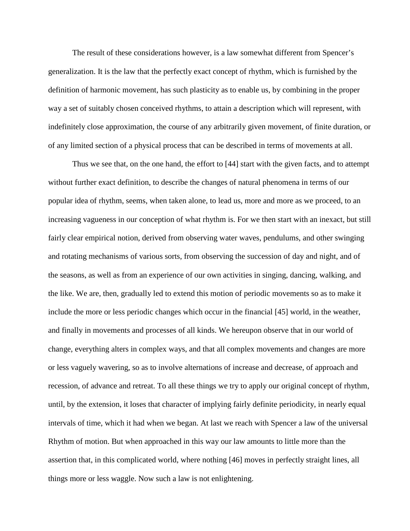The result of these considerations however, is a law somewhat different from Spencer's generalization. It is the law that the perfectly exact concept of rhythm, which is furnished by the definition of harmonic movement, has such plasticity as to enable us, by combining in the proper way a set of suitably chosen conceived rhythms, to attain a description which will represent, with indefinitely close approximation, the course of any arbitrarily given movement, of finite duration, or of any limited section of a physical process that can be described in terms of movements at all.

Thus we see that, on the one hand, the effort to [44] start with the given facts, and to attempt without further exact definition, to describe the changes of natural phenomena in terms of our popular idea of rhythm, seems, when taken alone, to lead us, more and more as we proceed, to an increasing vagueness in our conception of what rhythm is. For we then start with an inexact, but still fairly clear empirical notion, derived from observing water waves, pendulums, and other swinging and rotating mechanisms of various sorts, from observing the succession of day and night, and of the seasons, as well as from an experience of our own activities in singing, dancing, walking, and the like. We are, then, gradually led to extend this motion of periodic movements so as to make it include the more or less periodic changes which occur in the financial [45] world, in the weather, and finally in movements and processes of all kinds. We hereupon observe that in our world of change, everything alters in complex ways, and that all complex movements and changes are more or less vaguely wavering, so as to involve alternations of increase and decrease, of approach and recession, of advance and retreat. To all these things we try to apply our original concept of rhythm, until, by the extension, it loses that character of implying fairly definite periodicity, in nearly equal intervals of time, which it had when we began. At last we reach with Spencer a law of the universal Rhythm of motion. But when approached in this way our law amounts to little more than the assertion that, in this complicated world, where nothing [46] moves in perfectly straight lines, all things more or less waggle. Now such a law is not enlightening.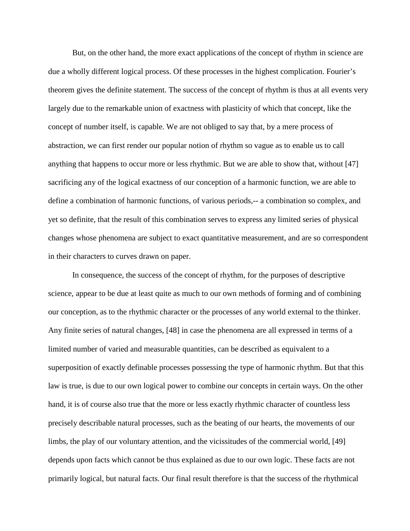But, on the other hand, the more exact applications of the concept of rhythm in science are due a wholly different logical process. Of these processes in the highest complication. Fourier's theorem gives the definite statement. The success of the concept of rhythm is thus at all events very largely due to the remarkable union of exactness with plasticity of which that concept, like the concept of number itself, is capable. We are not obliged to say that, by a mere process of abstraction, we can first render our popular notion of rhythm so vague as to enable us to call anything that happens to occur more or less rhythmic. But we are able to show that, without [47] sacrificing any of the logical exactness of our conception of a harmonic function, we are able to define a combination of harmonic functions, of various periods,-- a combination so complex, and yet so definite, that the result of this combination serves to express any limited series of physical changes whose phenomena are subject to exact quantitative measurement, and are so correspondent in their characters to curves drawn on paper.

In consequence, the success of the concept of rhythm, for the purposes of descriptive science, appear to be due at least quite as much to our own methods of forming and of combining our conception, as to the rhythmic character or the processes of any world external to the thinker. Any finite series of natural changes, [48] in case the phenomena are all expressed in terms of a limited number of varied and measurable quantities, can be described as equivalent to a superposition of exactly definable processes possessing the type of harmonic rhythm. But that this law is true, is due to our own logical power to combine our concepts in certain ways. On the other hand, it is of course also true that the more or less exactly rhythmic character of countless less precisely describable natural processes, such as the beating of our hearts, the movements of our limbs, the play of our voluntary attention, and the vicissitudes of the commercial world, [49] depends upon facts which cannot be thus explained as due to our own logic. These facts are not primarily logical, but natural facts. Our final result therefore is that the success of the rhythmical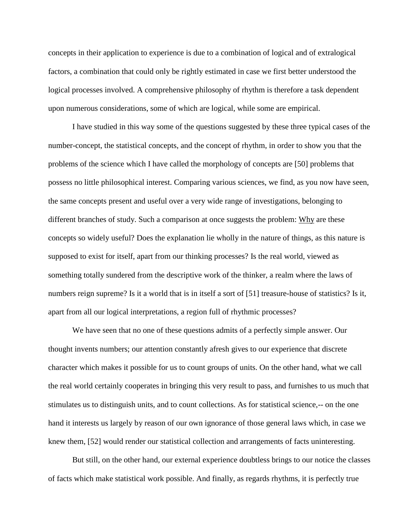concepts in their application to experience is due to a combination of logical and of extralogical factors, a combination that could only be rightly estimated in case we first better understood the logical processes involved. A comprehensive philosophy of rhythm is therefore a task dependent upon numerous considerations, some of which are logical, while some are empirical.

I have studied in this way some of the questions suggested by these three typical cases of the number-concept, the statistical concepts, and the concept of rhythm, in order to show you that the problems of the science which I have called the morphology of concepts are [50] problems that possess no little philosophical interest. Comparing various sciences, we find, as you now have seen, the same concepts present and useful over a very wide range of investigations, belonging to different branches of study. Such a comparison at once suggests the problem: Why are these concepts so widely useful? Does the explanation lie wholly in the nature of things, as this nature is supposed to exist for itself, apart from our thinking processes? Is the real world, viewed as something totally sundered from the descriptive work of the thinker, a realm where the laws of numbers reign supreme? Is it a world that is in itself a sort of [51] treasure-house of statistics? Is it, apart from all our logical interpretations, a region full of rhythmic processes?

We have seen that no one of these questions admits of a perfectly simple answer. Our thought invents numbers; our attention constantly afresh gives to our experience that discrete character which makes it possible for us to count groups of units. On the other hand, what we call the real world certainly cooperates in bringing this very result to pass, and furnishes to us much that stimulates us to distinguish units, and to count collections. As for statistical science,-- on the one hand it interests us largely by reason of our own ignorance of those general laws which, in case we knew them, [52] would render our statistical collection and arrangements of facts uninteresting.

But still, on the other hand, our external experience doubtless brings to our notice the classes of facts which make statistical work possible. And finally, as regards rhythms, it is perfectly true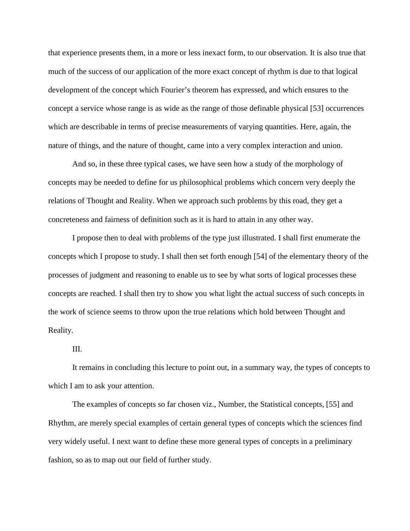that experience presents them, in a more or less inexact form, to our observation. It is also true that much of the success of our application of the more exact concept of rhythm is due to that logical development of the concept which Fourier's theorem has expressed, and which ensures to the concept a service whose range is as wide as the range of those definable physical [53] occurrences which are describable in terms of precise measurements of varying quantities. Here, again, the nature of things, and the nature of thought, came into a very complex interaction and union.

And so, in these three typical cases, we have seen how a study of the morphology of concepts may be needed to define for us philosophical problems which concern very deeply the relations of Thought and Reality. When we approach such problems by this road, they get a concreteness and fairness of definition such as it is hard to attain in any other way.

I propose then to deal with problems of the type just illustrated. I shall first enumerate the concepts which I propose to study. I shall then set forth enough [54] of the elementary theory of the processes of judgment and reasoning to enable us to see by what sorts of logical processes these concepts are reached. I shall then try to show you what light the actual success of such concepts in the work of science seems to throw upon the true relations which hold between Thought and Reality.

## III.

It remains in concluding this lecture to point out, in a summary way, the types of concepts to which I am to ask your attention.

The examples of concepts so far chosen viz., Number, the Statistical concepts, [55] and Rhythm, are merely special examples of certain general types of concepts which the sciences find very widely useful. I next want to define these more general types of concepts in a preliminary fashion, so as to map out our field of further study.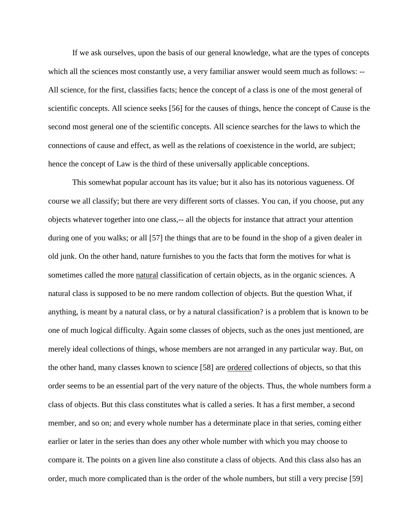If we ask ourselves, upon the basis of our general knowledge, what are the types of concepts which all the sciences most constantly use, a very familiar answer would seem much as follows: --All science, for the first, classifies facts; hence the concept of a class is one of the most general of scientific concepts. All science seeks [56] for the causes of things, hence the concept of Cause is the second most general one of the scientific concepts. All science searches for the laws to which the connections of cause and effect, as well as the relations of coexistence in the world, are subject; hence the concept of Law is the third of these universally applicable conceptions.

This somewhat popular account has its value; but it also has its notorious vagueness. Of course we all classify; but there are very different sorts of classes. You can, if you choose, put any objects whatever together into one class,-- all the objects for instance that attract your attention during one of you walks; or all [57] the things that are to be found in the shop of a given dealer in old junk. On the other hand, nature furnishes to you the facts that form the motives for what is sometimes called the more natural classification of certain objects, as in the organic sciences. A natural class is supposed to be no mere random collection of objects. But the question What, if anything, is meant by a natural class, or by a natural classification? is a problem that is known to be one of much logical difficulty. Again some classes of objects, such as the ones just mentioned, are merely ideal collections of things, whose members are not arranged in any particular way. But, on the other hand, many classes known to science [58] are ordered collections of objects, so that this order seems to be an essential part of the very nature of the objects. Thus, the whole numbers form a class of objects. But this class constitutes what is called a series. It has a first member, a second member, and so on; and every whole number has a determinate place in that series, coming either earlier or later in the series than does any other whole number with which you may choose to compare it. The points on a given line also constitute a class of objects. And this class also has an order, much more complicated than is the order of the whole numbers, but still a very precise [59]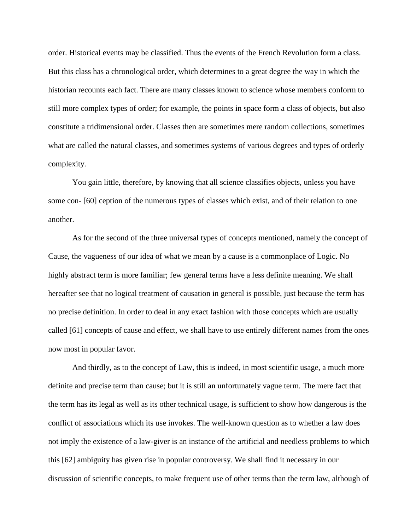order. Historical events may be classified. Thus the events of the French Revolution form a class. But this class has a chronological order, which determines to a great degree the way in which the historian recounts each fact. There are many classes known to science whose members conform to still more complex types of order; for example, the points in space form a class of objects, but also constitute a tridimensional order. Classes then are sometimes mere random collections, sometimes what are called the natural classes, and sometimes systems of various degrees and types of orderly complexity.

You gain little, therefore, by knowing that all science classifies objects, unless you have some con- [60] ception of the numerous types of classes which exist, and of their relation to one another.

As for the second of the three universal types of concepts mentioned, namely the concept of Cause, the vagueness of our idea of what we mean by a cause is a commonplace of Logic. No highly abstract term is more familiar; few general terms have a less definite meaning. We shall hereafter see that no logical treatment of causation in general is possible, just because the term has no precise definition. In order to deal in any exact fashion with those concepts which are usually called [61] concepts of cause and effect, we shall have to use entirely different names from the ones now most in popular favor.

And thirdly, as to the concept of Law, this is indeed, in most scientific usage, a much more definite and precise term than cause; but it is still an unfortunately vague term. The mere fact that the term has its legal as well as its other technical usage, is sufficient to show how dangerous is the conflict of associations which its use invokes. The well-known question as to whether a law does not imply the existence of a law-giver is an instance of the artificial and needless problems to which this [62] ambiguity has given rise in popular controversy. We shall find it necessary in our discussion of scientific concepts, to make frequent use of other terms than the term law, although of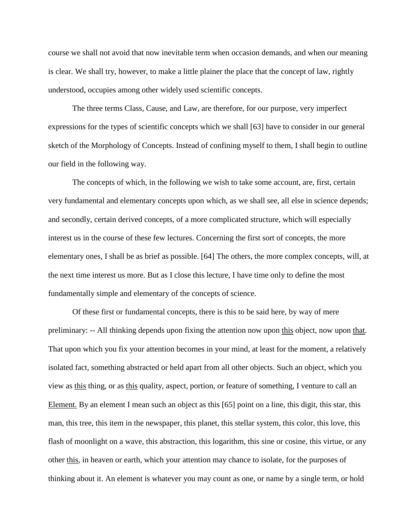course we shall not avoid that now inevitable term when occasion demands, and when our meaning is clear. We shall try, however, to make a little plainer the place that the concept of law, rightly understood, occupies among other widely used scientific concepts.

The three terms Class, Cause, and Law, are therefore, for our purpose, very imperfect expressions for the types of scientific concepts which we shall [63] have to consider in our general sketch of the Morphology of Concepts. Instead of confining myself to them, I shall begin to outline our field in the following way.

The concepts of which, in the following we wish to take some account, are, first, certain very fundamental and elementary concepts upon which, as we shall see, all else in science depends; and secondly, certain derived concepts, of a more complicated structure, which will especially interest us in the course of these few lectures. Concerning the first sort of concepts, the more elementary ones, I shall be as brief as possible. [64] The others, the more complex concepts, will, at the next time interest us more. But as I close this lecture, I have time only to define the most fundamentally simple and elementary of the concepts of science.

Of these first or fundamental concepts, there is this to be said here, by way of mere preliminary: -- All thinking depends upon fixing the attention now upon this object, now upon that. That upon which you fix your attention becomes in your mind, at least for the moment, a relatively isolated fact, something abstracted or held apart from all other objects. Such an object, which you view as this thing, or as this quality, aspect, portion, or feature of something, I venture to call an Element*.* By an element I mean such an object as this [65] point on a line, this digit, this star, this man, this tree, this item in the newspaper, this planet, this stellar system, this color, this love, this flash of moonlight on a wave, this abstraction, this logarithm, this sine or cosine, this virtue, or any other this, in heaven or earth, which your attention may chance to isolate, for the purposes of thinking about it. An element is whatever you may count as one, or name by a single term, or hold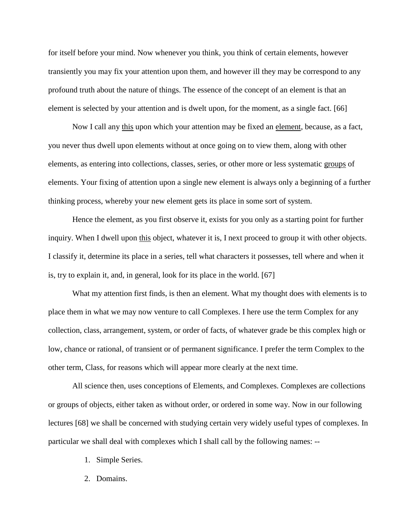for itself before your mind. Now whenever you think, you think of certain elements, however transiently you may fix your attention upon them, and however ill they may be correspond to any profound truth about the nature of things. The essence of the concept of an element is that an element is selected by your attention and is dwelt upon, for the moment, as a single fact. [66]

Now I call any this upon which your attention may be fixed an element, because, as a fact, you never thus dwell upon elements without at once going on to view them, along with other elements, as entering into collections, classes, series, or other more or less systematic groups of elements. Your fixing of attention upon a single new element is always only a beginning of a further thinking process, whereby your new element gets its place in some sort of system.

Hence the element, as you first observe it, exists for you only as a starting point for further inquiry. When I dwell upon this object, whatever it is, I next proceed to group it with other objects. I classify it, determine its place in a series, tell what characters it possesses, tell where and when it is, try to explain it, and, in general, look for its place in the world. [67]

What my attention first finds, is then an element. What my thought does with elements is to place them in what we may now venture to call Complexes. I here use the term Complex for any collection, class, arrangement, system, or order of facts, of whatever grade be this complex high or low, chance or rational, of transient or of permanent significance. I prefer the term Complex to the other term, Class, for reasons which will appear more clearly at the next time.

All science then, uses conceptions of Elements, and Complexes. Complexes are collections or groups of objects, either taken as without order, or ordered in some way. Now in our following lectures [68] we shall be concerned with studying certain very widely useful types of complexes. In particular we shall deal with complexes which I shall call by the following names: --

- 1. Simple Series.
- 2. Domains.